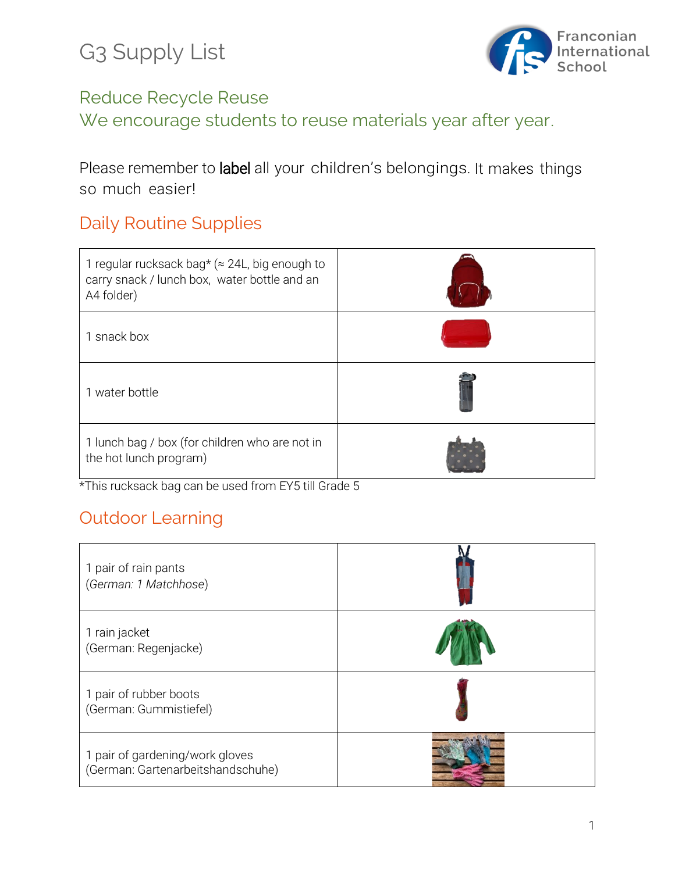G3 Supply List



#### Reduce Recycle Reuse

We encourage students to reuse materials year after year.

Please remember to label all your children's belongings. It makes things so much easier!

# Daily Routine Supplies

| 1 regular rucksack bag* ( $\approx$ 24L, big enough to<br>carry snack / lunch box, water bottle and an<br>A4 folder) |  |
|----------------------------------------------------------------------------------------------------------------------|--|
| 1 snack box                                                                                                          |  |
| 1 water bottle                                                                                                       |  |
| 1 lunch bag / box (for children who are not in<br>the hot lunch program)                                             |  |

\*This rucksack bag can be used from EY5 till Grade 5

# Outdoor Learning

| 1 pair of rain pants<br>(German: 1 Matchhose)                        |  |
|----------------------------------------------------------------------|--|
| 1 rain jacket<br>(German: Regenjacke)                                |  |
| 1 pair of rubber boots<br>(German: Gummistiefel)                     |  |
| 1 pair of gardening/work gloves<br>(German: Gartenarbeitshandschuhe) |  |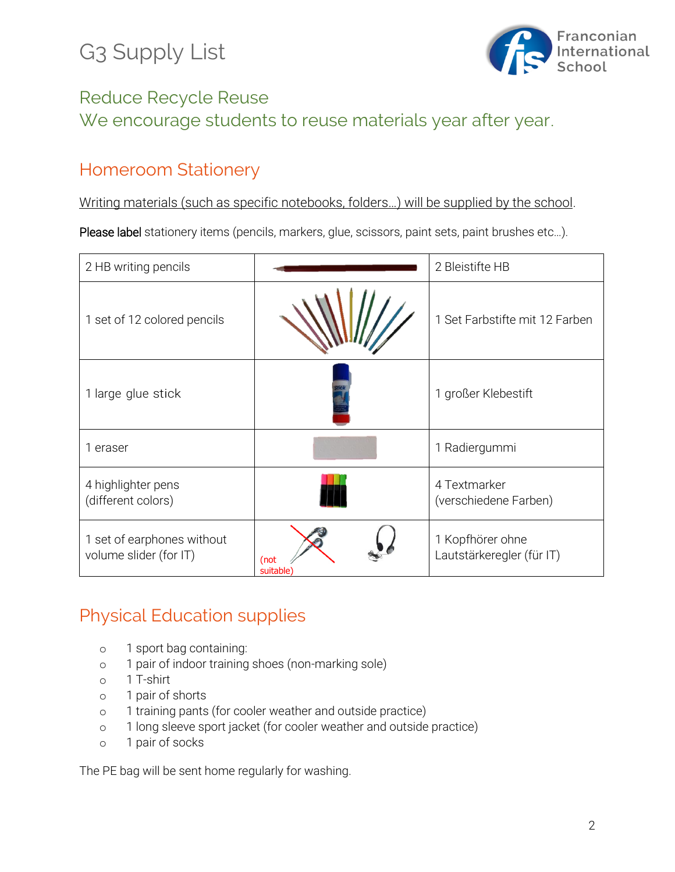# G3 Supply List



## Reduce Recycle Reuse We encourage students to reuse materials year after year.

### Homeroom Stationery

Writing materials (such as specific notebooks, folders…) will be supplied by the school.

Please label stationery items (pencils, markers, glue, scissors, paint sets, paint brushes etc...).

| 2 HB writing pencils                                 |                               | 2 Bleistifte HB                               |
|------------------------------------------------------|-------------------------------|-----------------------------------------------|
| 1 set of 12 colored pencils                          |                               | 1 Set Farbstifte mit 12 Farben                |
| 1 large glue stick                                   |                               | 1 großer Klebestift                           |
| 1 eraser                                             |                               | 1 Radiergummi                                 |
| 4 highlighter pens<br>(different colors)             |                               | 4 Textmarker<br>(verschiedene Farben)         |
| 1 set of earphones without<br>volume slider (for IT) | (not<br>suitable <sup>®</sup> | 1 Kopfhörer ohne<br>Lautstärkeregler (für IT) |

### Physical Education supplies

- o 1 sport bag containing:
- o 1 pair of indoor training shoes (non-marking sole)
- o 1 T-shirt
- o 1 pair of shorts
- o 1 training pants (for cooler weather and outside practice)
- o 1 long sleeve sport jacket (for cooler weather and outside practice)
- o 1 pair of socks

The PE bag will be sent home regularly for washing.